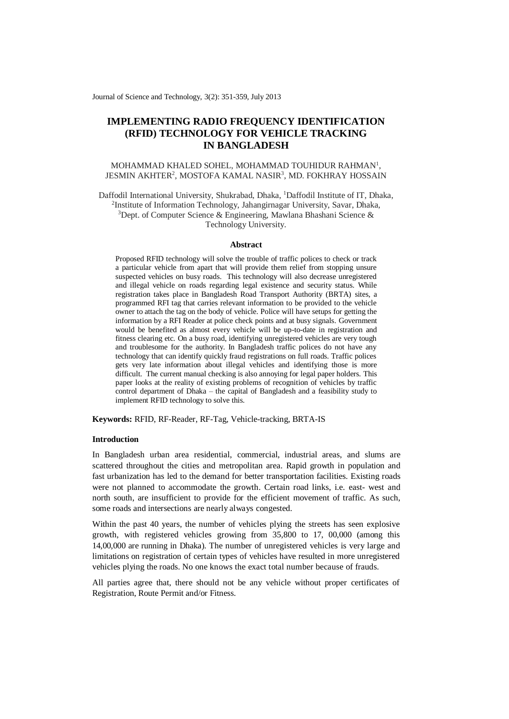Journal of Science and Technology, 3(2): 351-359, July 2013

# **IMPLEMENTING RADIO FREQUENCY IDENTIFICATION (RFID) TECHNOLOGY FOR VEHICLE TRACKING IN BANGLADESH**

## MOHAMMAD KHALED SOHEL, MOHAMMAD TOUHIDUR RAHMAN<sup>1</sup>, JESMIN AKHTER<sup>2</sup>, MOSTOFA KAMAL NASIR<sup>3</sup>, MD. FOKHRAY HOSSAIN

Daffodil International University, Shukrabad, Dhaka, <sup>1</sup>Daffodil Institute of IT, Dhaka, 2 Institute of Information Technology, Jahangirnagar University, Savar, Dhaka, <sup>3</sup>Dept. of Computer Science & Engineering, Mawlana Bhashani Science & Technology University.

#### **Abstract**

Proposed RFID technology will solve the trouble of traffic polices to check or track a particular vehicle from apart that will provide them relief from stopping unsure suspected vehicles on busy roads. This technology will also decrease unregistered and illegal vehicle on roads regarding legal existence and security status. While registration takes place in Bangladesh Road Transport Authority (BRTA) sites, a programmed RFI tag that carries relevant information to be provided to the vehicle owner to attach the tag on the body of vehicle. Police will have setups for getting the information by a RFI Reader at police check points and at busy signals. Government would be benefited as almost every vehicle will be up-to-date in registration and fitness clearing etc. On a busy road, identifying unregistered vehicles are very tough and troublesome for the authority. In Bangladesh traffic polices do not have any technology that can identify quickly fraud registrations on full roads. Traffic polices gets very late information about illegal vehicles and identifying those is more difficult. The current manual checking is also annoying for legal paper holders. This paper looks at the reality of existing problems of recognition of vehicles by traffic control department of Dhaka – the capital of Bangladesh and a feasibility study to implement RFID technology to solve this.

**Keywords:** RFID, RF-Reader, RF-Tag, Vehicle-tracking, BRTA-IS

## **Introduction**

In Bangladesh urban area residential, commercial, industrial areas, and slums are scattered throughout the cities and metropolitan area. Rapid growth in population and fast urbanization has led to the demand for better transportation facilities. Existing roads were not planned to accommodate the growth. Certain road links, i.e. east- west and north south, are insufficient to provide for the efficient movement of traffic. As such, some roads and intersections are nearly always congested.

Within the past 40 years, the number of vehicles plying the streets has seen explosive growth, with registered vehicles growing from 35,800 to 17, 00,000 (among this 14,00,000 are running in Dhaka). The number of unregistered vehicles is very large and limitations on registration of certain types of vehicles have resulted in more unregistered vehicles plying the roads. No one knows the exact total number because of frauds.

All parties agree that, there should not be any vehicle without proper certificates of Registration, Route Permit and/or Fitness.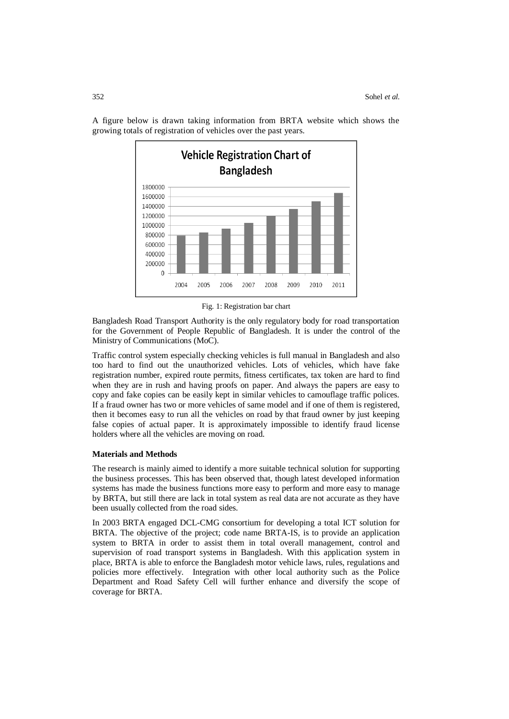

A figure below is drawn taking information from BRTA website which shows the growing totals of registration of vehicles over the past years.

Fig. 1: Registration bar chart

Bangladesh Road Transport Authority is the only regulatory body for road transportation for the Government of People Republic of Bangladesh. It is under the control of the Ministry of Communications (MoC).

Traffic control system especially checking vehicles is full manual in Bangladesh and also too hard to find out the unauthorized vehicles. Lots of vehicles, which have fake registration number, expired route permits, fitness certificates, tax token are hard to find when they are in rush and having proofs on paper. And always the papers are easy to copy and fake copies can be easily kept in similar vehicles to camouflage traffic polices. If a fraud owner has two or more vehicles of same model and if one of them is registered, then it becomes easy to run all the vehicles on road by that fraud owner by just keeping false copies of actual paper. It is approximately impossible to identify fraud license holders where all the vehicles are moving on road.

#### **Materials and Methods**

The research is mainly aimed to identify a more suitable technical solution for supporting the business processes. This has been observed that, though latest developed information systems has made the business functions more easy to perform and more easy to manage by BRTA, but still there are lack in total system as real data are not accurate as they have been usually collected from the road sides.

In 2003 BRTA engaged DCL-CMG consortium for developing a total ICT solution for BRTA. The objective of the project; code name BRTA-IS, is to provide an application system to BRTA in order to assist them in total overall management, control and supervision of road transport systems in Bangladesh. With this application system in place, BRTA is able to enforce the Bangladesh motor vehicle laws, rules, regulations and policies more effectively. Integration with other local authority such as the Police Department and Road Safety Cell will further enhance and diversify the scope of coverage for BRTA.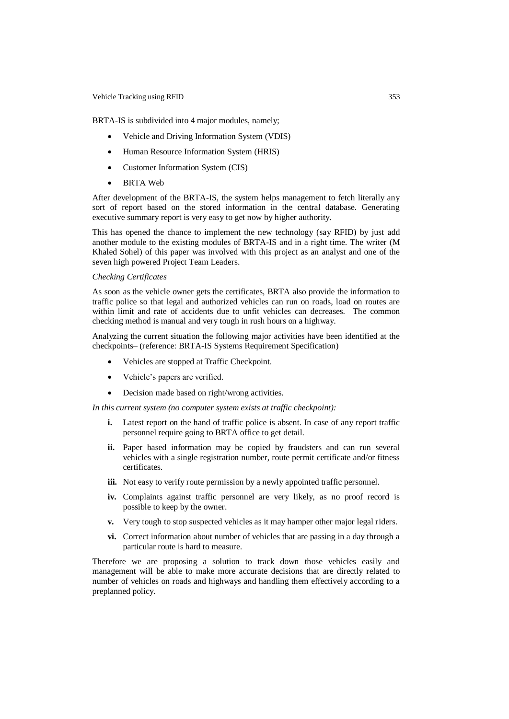#### Vehicle Tracking using RFID 353

BRTA-IS is subdivided into 4 major modules, namely;

- Vehicle and Driving Information System (VDIS)
- Human Resource Information System (HRIS)
- Customer Information System (CIS)
- BRTA Web

After development of the BRTA-IS, the system helps management to fetch literally any sort of report based on the stored information in the central database. Generating executive summary report is very easy to get now by higher authority.

This has opened the chance to implement the new technology (say RFID) by just add another module to the existing modules of BRTA-IS and in a right time. The writer (M Khaled Sohel) of this paper was involved with this project as an analyst and one of the seven high powered Project Team Leaders.

#### *Checking Certificates*

As soon as the vehicle owner gets the certificates, BRTA also provide the information to traffic police so that legal and authorized vehicles can run on roads, load on routes are within limit and rate of accidents due to unfit vehicles can decreases. The common checking method is manual and very tough in rush hours on a highway.

Analyzing the current situation the following major activities have been identified at the checkpoints– (reference: BRTA-IS Systems Requirement Specification)

- Vehicles are stopped at Traffic Checkpoint.
- Vehicle's papers are verified.
- Decision made based on right/wrong activities.

*In this current system (no computer system exists at traffic checkpoint):*

- **i.** Latest report on the hand of traffic police is absent. In case of any report traffic personnel require going to BRTA office to get detail.
- **ii.** Paper based information may be copied by fraudsters and can run several vehicles with a single registration number, route permit certificate and/or fitness certificates.
- **iii.** Not easy to verify route permission by a newly appointed traffic personnel.
- **iv.** Complaints against traffic personnel are very likely, as no proof record is possible to keep by the owner.
- **v.** Very tough to stop suspected vehicles as it may hamper other major legal riders.
- **vi.** Correct information about number of vehicles that are passing in a day through a particular route is hard to measure.

Therefore we are proposing a solution to track down those vehicles easily and management will be able to make more accurate decisions that are directly related to number of vehicles on roads and highways and handling them effectively according to a preplanned policy.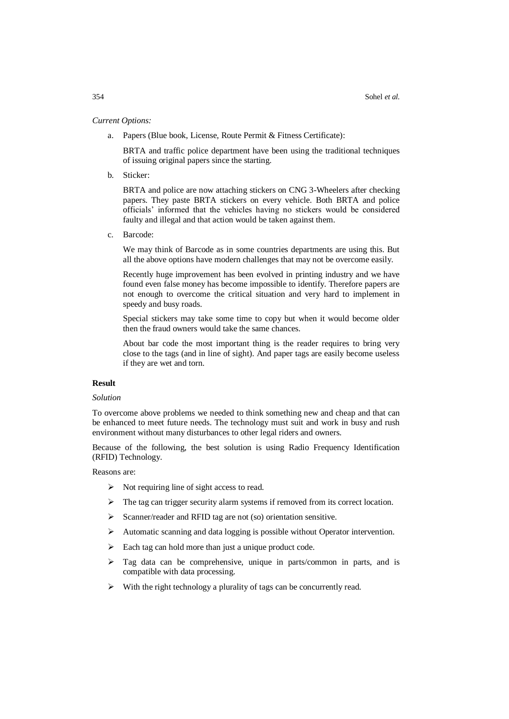## *Current Options:*

a. Papers (Blue book, License, Route Permit & Fitness Certificate):

BRTA and traffic police department have been using the traditional techniques of issuing original papers since the starting.

b. Sticker:

BRTA and police are now attaching stickers on CNG 3-Wheelers after checking papers. They paste BRTA stickers on every vehicle. Both BRTA and police officials' informed that the vehicles having no stickers would be considered faulty and illegal and that action would be taken against them.

c. Barcode:

We may think of Barcode as in some countries departments are using this. But all the above options have modern challenges that may not be overcome easily.

Recently huge improvement has been evolved in printing industry and we have found even false money has become impossible to identify. Therefore papers are not enough to overcome the critical situation and very hard to implement in speedy and busy roads.

Special stickers may take some time to copy but when it would become older then the fraud owners would take the same chances.

About bar code the most important thing is the reader requires to bring very close to the tags (and in line of sight). And paper tags are easily become useless if they are wet and torn.

## **Result**

## *Solution*

To overcome above problems we needed to think something new and cheap and that can be enhanced to meet future needs. The technology must suit and work in busy and rush environment without many disturbances to other legal riders and owners.

Because of the following, the best solution is using Radio Frequency Identification (RFID) Technology.

Reasons are:

- $\triangleright$  Not requiring line of sight access to read.
- $\triangleright$  The tag can trigger security alarm systems if removed from its correct location.
- $\triangleright$  Scanner/reader and RFID tag are not (so) orientation sensitive.
- Automatic scanning and data logging is possible without Operator intervention.
- $\triangleright$  Each tag can hold more than just a unique product code.
- $\triangleright$  Tag data can be comprehensive, unique in parts/common in parts, and is compatible with data processing.
- $\triangleright$  With the right technology a plurality of tags can be concurrently read.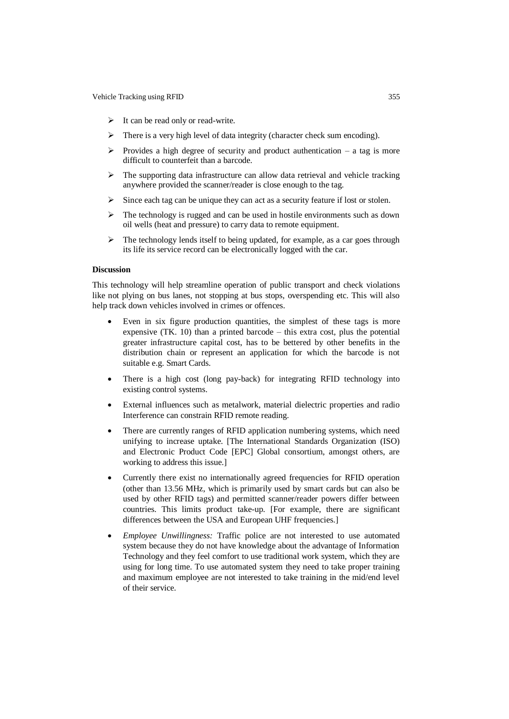- $\triangleright$  It can be read only or read-write.
- $\triangleright$  There is a very high level of data integrity (character check sum encoding).
- Provides a high degree of security and product authentication a tag is more difficult to counterfeit than a barcode.
- $\triangleright$  The supporting data infrastructure can allow data retrieval and vehicle tracking anywhere provided the scanner/reader is close enough to the tag.
- $\triangleright$  Since each tag can be unique they can act as a security feature if lost or stolen.
- $\triangleright$  The technology is rugged and can be used in hostile environments such as down oil wells (heat and pressure) to carry data to remote equipment.
- $\triangleright$  The technology lends itself to being updated, for example, as a car goes through its life its service record can be electronically logged with the car.

## **Discussion**

This technology will help streamline operation of public transport and check violations like not plying on bus lanes, not stopping at bus stops, overspending etc. This will also help track down vehicles involved in crimes or offences.

- Even in six figure production quantities, the simplest of these tags is more expensive (TK. 10) than a printed barcode – this extra cost, plus the potential greater infrastructure capital cost, has to be bettered by other benefits in the distribution chain or represent an application for which the barcode is not suitable e.g. Smart Cards.
- There is a high cost (long pay-back) for integrating RFID technology into existing control systems.
- External influences such as metalwork, material dielectric properties and radio Interference can constrain RFID remote reading.
- There are currently ranges of RFID application numbering systems, which need unifying to increase uptake. [The International Standards Organization (ISO) and Electronic Product Code [EPC] Global consortium, amongst others, are working to address this issue.]
- Currently there exist no internationally agreed frequencies for RFID operation (other than 13.56 MHz, which is primarily used by smart cards but can also be used by other RFID tags) and permitted scanner/reader powers differ between countries. This limits product take-up. [For example, there are significant differences between the USA and European UHF frequencies.]
- *Employee Unwillingness:* Traffic police are not interested to use automated system because they do not have knowledge about the advantage of Information Technology and they feel comfort to use traditional work system, which they are using for long time. To use automated system they need to take proper training and maximum employee are not interested to take training in the mid/end level of their service.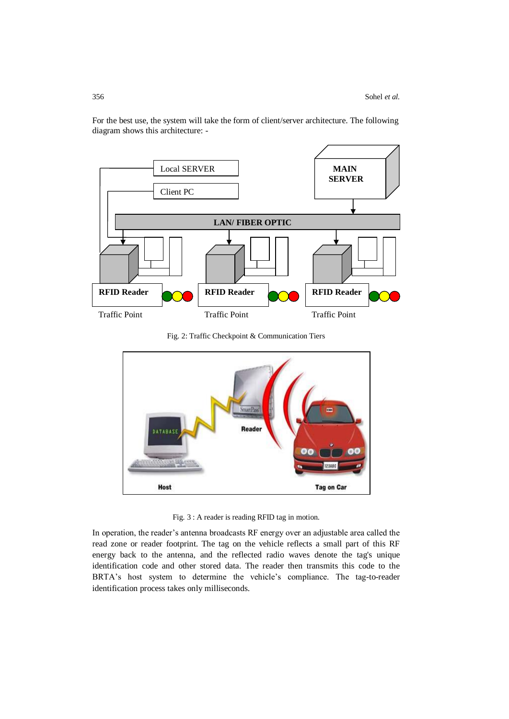

For the best use, the system will take the form of client/server architecture. The following diagram shows this architecture: -

Fig. 2: Traffic Checkpoint & Communication Tiers



Fig. 3 : A reader is reading RFID tag in motion.

In operation, the reader's antenna broadcasts RF energy over an adjustable area called the read zone or reader footprint. The tag on the vehicle reflects a small part of this RF energy back to the antenna, and the reflected radio waves denote the tag's unique identification code and other stored data. The reader then transmits this code to the BRTA's host system to determine the vehicle's compliance. The tag-to-reader identification process takes only milliseconds.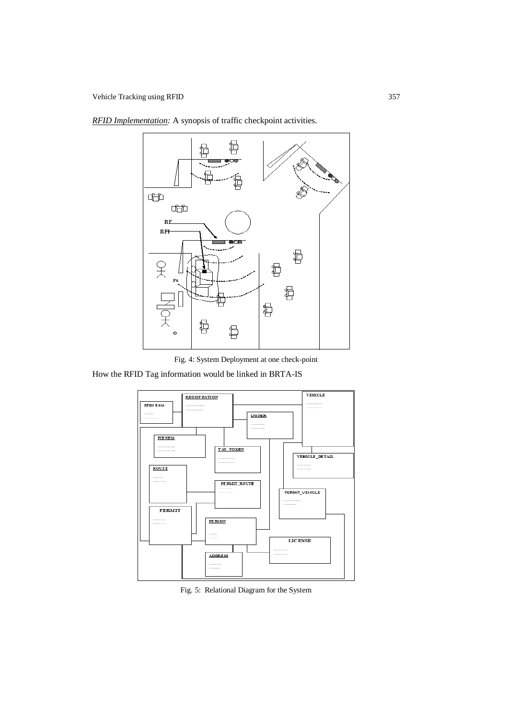Vehicle Tracking using RFID 357





Fig. 4: System Deployment at one check-point

How the RFID Tag information would be linked in BRTA-IS



Fig. 5: Relational Diagram for the System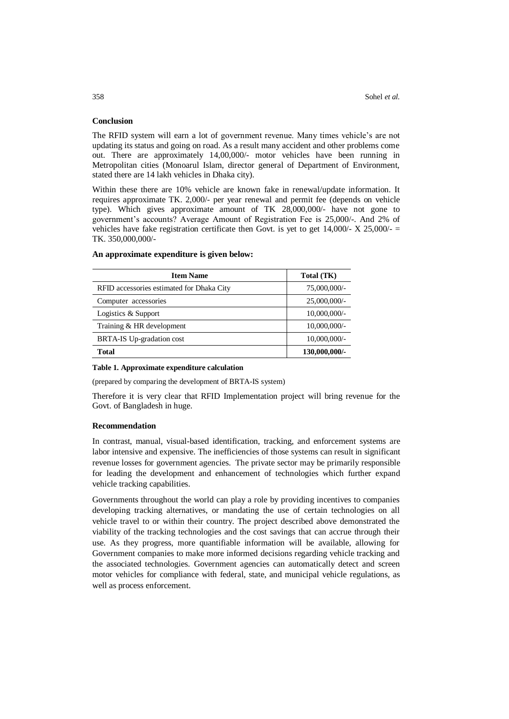## **Conclusion**

The RFID system will earn a lot of government revenue. Many times vehicle's are not updating its status and going on road. As a result many accident and other problems come out. There are approximately 14,00,000/- motor vehicles have been running in Metropolitan cities (Monoarul Islam, director general of Department of Environment, stated there are 14 lakh vehicles in Dhaka city).

Within these there are 10% vehicle are known fake in renewal/update information. It requires approximate TK. 2,000/- per year renewal and permit fee (depends on vehicle type). Which gives approximate amount of TK 28,000,000/- have not gone to government's accounts? Average Amount of Registration Fee is 25,000/-. And 2% of vehicles have fake registration certificate then Govt. is yet to get  $14,000/- X 25,000/- =$ TK. 350,000,000/-

| <b>Item Name</b>                          | Total (TK)      |
|-------------------------------------------|-----------------|
| RFID accessories estimated for Dhaka City | 75,000,000/-    |
| Computer accessories                      | 25,000,000/-    |
| Logistics & Support                       | $10,000,000/$ - |
| Training & HR development                 | $10,000,000/$ - |
| <b>BRTA-IS Up-gradation cost</b>          | $10,000,000/$ - |
| <b>Total</b>                              | 130,000,000/-   |

#### **An approximate expenditure is given below:**

#### **Table 1. Approximate expenditure calculation**

(prepared by comparing the development of BRTA-IS system)

Therefore it is very clear that RFID Implementation project will bring revenue for the Govt. of Bangladesh in huge.

#### **Recommendation**

In contrast, manual, visual-based identification, tracking, and enforcement systems are labor intensive and expensive. The inefficiencies of those systems can result in significant revenue losses for government agencies. The private sector may be primarily responsible for leading the development and enhancement of technologies which further expand vehicle tracking capabilities.

Governments throughout the world can play a role by providing incentives to companies developing tracking alternatives, or mandating the use of certain technologies on all vehicle travel to or within their country. The project described above demonstrated the viability of the tracking technologies and the cost savings that can accrue through their use. As they progress, more quantifiable information will be available, allowing for Government companies to make more informed decisions regarding vehicle tracking and the associated technologies. Government agencies can automatically detect and screen motor vehicles for compliance with federal, state, and municipal vehicle regulations, as well as process enforcement.